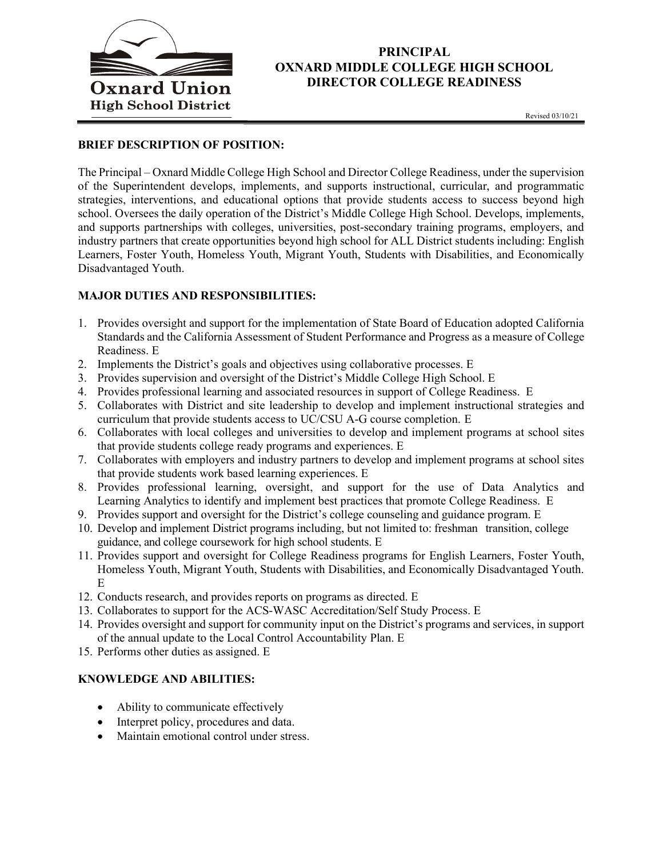

## PRINCIPAL OXNARD MIDDLE COLLEGE HIGH SCHOOL DIRECTOR COLLEGE READINESS

### BRIEF DESCRIPTION OF POSITION:

The Principal – Oxnard Middle College High School and Director College Readiness, under the supervision of the Superintendent develops, implements, and supports instructional, curricular, and programmatic strategies, interventions, and educational options that provide students access to success beyond high school. Oversees the daily operation of the District's Middle College High School. Develops, implements, and supports partnerships with colleges, universities, post-secondary training programs, employers, and industry partners that create opportunities beyond high school for ALL District students including: English Learners, Foster Youth, Homeless Youth, Migrant Youth, Students with Disabilities, and Economically Disadvantaged Youth.

#### MAJOR DUTIES AND RESPONSIBILITIES:

- 1. Provides oversight and support for the implementation of State Board of Education adopted California Standards and the California Assessment of Student Performance and Progress as a measure of College Readiness. E
- 2. Implements the District's goals and objectives using collaborative processes. E
- 3. Provides supervision and oversight of the District's Middle College High School. E
- 4. Provides professional learning and associated resources in support of College Readiness. E
- 5. Collaborates with District and site leadership to develop and implement instructional strategies and curriculum that provide students access to UC/CSU A-G course completion. E
- 6. Collaborates with local colleges and universities to develop and implement programs at school sites that provide students college ready programs and experiences. E
- 7. Collaborates with employers and industry partners to develop and implement programs at school sites that provide students work based learning experiences. E
- 8. Provides professional learning, oversight, and support for the use of Data Analytics and Learning Analytics to identify and implement best practices that promote College Readiness. E
- 9. Provides support and oversight for the District's college counseling and guidance program. E
- 10. Develop and implement District programs including, but not limited to: freshman transition, college guidance, and college coursework for high school students. E
- 11. Provides support and oversight for College Readiness programs for English Learners, Foster Youth, Homeless Youth, Migrant Youth, Students with Disabilities, and Economically Disadvantaged Youth. E
- 12. Conducts research, and provides reports on programs as directed. E
- 13. Collaborates to support for the ACS-WASC Accreditation/Self Study Process. E
- 14. Provides oversight and support for community input on the District's programs and services, in support of the annual update to the Local Control Accountability Plan. E
- 15. Performs other duties as assigned. E

## KNOWLEDGE AND ABILITIES:

- Ability to communicate effectively
- Interpret policy, procedures and data.
- Maintain emotional control under stress.